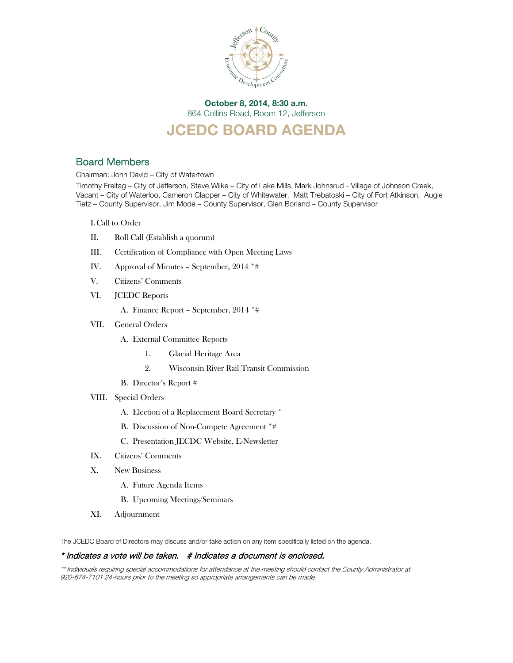

October 8, 2014, 8:30 a.m. 864 Collins Road, Room 12, Jefferson

# JCEDC BOARD AGENDA

## Board Members

Chairman: John David – City of Watertown

Timothy Freitag – City of Jefferson, Steve Wilke – City of Lake Mills, Mark Johnsrud - Village of Johnson Creek, Vacant – City of Waterloo, Cameron Clapper – City of Whitewater, Matt Trebatoski – City of Fort Atkinson, Augie Tietz – County Supervisor, Jim Mode – County Supervisor, Glen Borland – County Supervisor

I.Call to Order

- II. Roll Call (Establish a quorum)
- III. Certification of Compliance with Open Meeting Laws
- IV. Approval of Minutes September, 2014 \*#
- V. Citizens' Comments
- VI. JCEDC Reports
	- A. Finance Report September, 2014 \*#
- VII. General Orders
	- A. External Committee Reports
		- 1. Glacial Heritage Area
		- 2. Wisconsin River Rail Transit Commission
	- B. Director's Report #
- VIII. Special Orders
	- A. Election of a Replacement Board Secretary \*
	- B. Discussion of Non-Compete Agreement \*#
	- C. Presentation JECDC Website, E-Newsletter
- IX. Citizens' Comments
- X. New Business
	- A. Future Agenda Items
	- B. Upcoming Meetings/Seminars
- XI. Adjournment

The JCEDC Board of Directors may discuss and/or take action on any item specifically listed on the agenda.

### \* Indicates a vote will be taken. # Indicates a document is enclosed.

\*\* Individuals requiring special accommodations for attendance at the meeting should contact the County Administrator at 920-674-7101 24-hours prior to the meeting so appropriate arrangements can be made.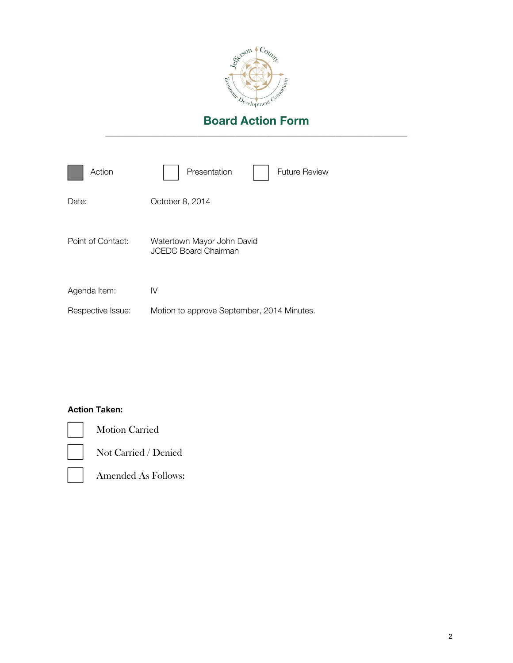

| Action            | Presentation<br><b>Future Review</b>                      |
|-------------------|-----------------------------------------------------------|
| Date:             | October 8, 2014                                           |
| Point of Contact: | Watertown Mayor John David<br><b>JCEDC Board Chairman</b> |
| Agenda Item:      | IV                                                        |
| Respective Issue: | Motion to approve September, 2014 Minutes.                |

# Action Taken:



Motion Carried

Not Carried / Denied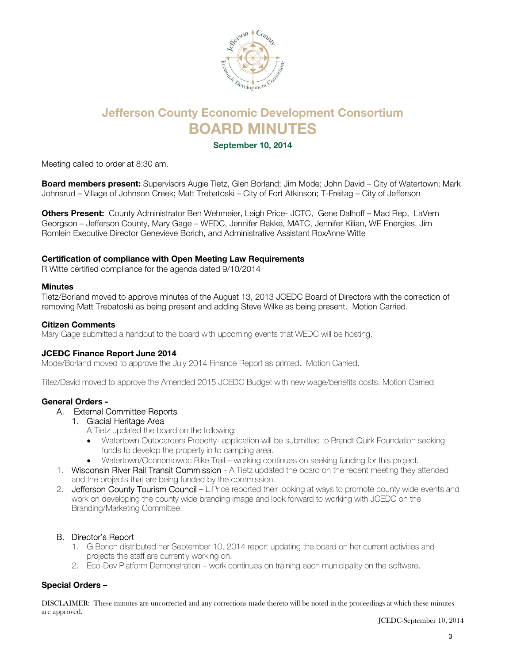

# Jefferson County Economic Development Consortium BOARD MINUTES

September 10, 2014

Meeting called to order at 8:30 am.

Board members present: Supervisors Augie Tietz, Glen Borland; Jim Mode; John David – City of Watertown; Mark Johnsrud – Village of Johnson Creek; Matt Trebatoski – City of Fort Atkinson; T-Freitag – City of Jefferson

Others Present: County Administrator Ben Wehmeier, Leigh Price- JCTC, Gene Dalhoff - Mad Rep, LaVern Georgson – Jefferson County, Mary Gage – WEDC, Jennifer Bakke, MATC, Jennifer Kilian, WE Energies, Jim Romlein Executive Director Genevieve Borich, and Administrative Assistant RoxAnne Witte

### Certification of compliance with Open Meeting Law Requirements

R Witte certified compliance for the agenda dated 9/10/2014

### Minutes

Tietz/Borland moved to approve minutes of the August 13, 2013 JCEDC Board of Directors with the correction of removing Matt Trebatoski as being present and adding Steve Wilke as being present. Motion Carried.

### Citizen Comments

Mary Gage submitted a handout to the board with upcoming events that WEDC will be hosting.

### JCEDC Finance Report June 2014

Mode/Borland moved to approve the July 2014 Finance Report as printed. Motion Carried.

Titez/David moved to approve the Amended 2015 JCEDC Budget with new wage/benefits costs. Motion Carried.

### General Orders -

### A. External Committee Reports

### 1. Glacial Heritage Area

A Tietz updated the board on the following:

- Watertown Outboarders Property- application will be submitted to Brandt Quirk Foundation seeking funds to develop the property in to camping area.
- Watertown/Oconomowoc Bike Trail working continues on seeking funding for this project.
- 1. Wisconsin River Rail Transit Commission A Tietz updated the board on the recent meeting they attended and the projects that are being funded by the commission.
- 2. Jefferson County Tourism Council L Price reported their looking at ways to promote county wide events and work on developing the county wide branding image and look forward to working with JCEDC on the Branding/Marketing Committee.

### B. Director's Report

- 1. G Borich distributed her September 10, 2014 report updating the board on her current activities and projects the staff are currently working on.
- 2. Eco-Dev Platform Demonstration work continues on training each municipality on the software.

### Special Orders –

DISCLAIMER: These minutes are uncorrected and any corrections made thereto will be noted in the proceedings at which these minutes are approved.

JCEDC-September 10, 2014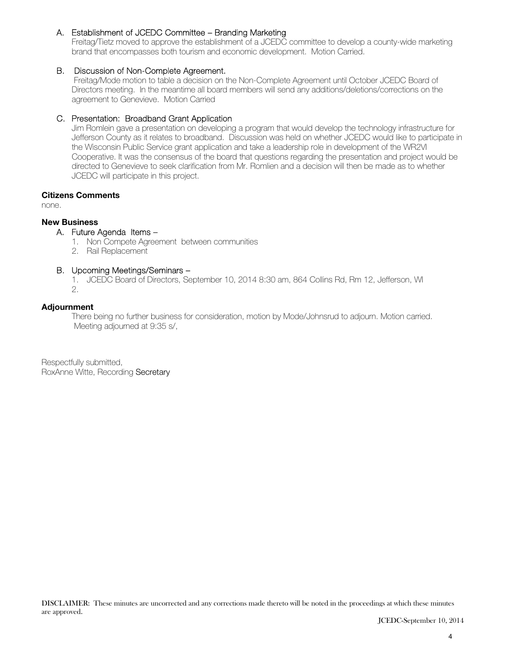### A. Establishment of JCEDC Committee – Branding Marketing

Freitag/Tietz moved to approve the establishment of a JCEDC committee to develop a county-wide marketing brand that encompasses both tourism and economic development. Motion Carried.

### B. Discussion of Non-Complete Agreement.

 Freitag/Mode motion to table a decision on the Non-Complete Agreement until October JCEDC Board of Directors meeting. In the meantime all board members will send any additions/deletions/corrections on the agreement to Genevieve. Motion Carried

### C. Presentation: Broadband Grant Application

Jim Romlein gave a presentation on developing a program that would develop the technology infrastructure for Jefferson County as it relates to broadband. Discussion was held on whether JCEDC would like to participate in the Wisconsin Public Service grant application and take a leadership role in development of the WR2VI Cooperative. It was the consensus of the board that questions regarding the presentation and project would be directed to Genevieve to seek clarification from Mr. Romlien and a decision will then be made as to whether JCEDC will participate in this project.

### Citizens Comments

none.

### New Business

### A. Future Agenda Items –

- 1. Non Compete Agreement between communities
- 2. Rail Replacement
- B. Upcoming Meetings/Seminars –

1. JCEDC Board of Directors, September 10, 2014 8:30 am, 864 Collins Rd, Rm 12, Jefferson, WI

2.

### Adjournment

There being no further business for consideration, motion by Mode/Johnsrud to adjourn. Motion carried. Meeting adjourned at 9:35 s/,

Respectfully submitted, RoxAnne Witte, Recording Secretary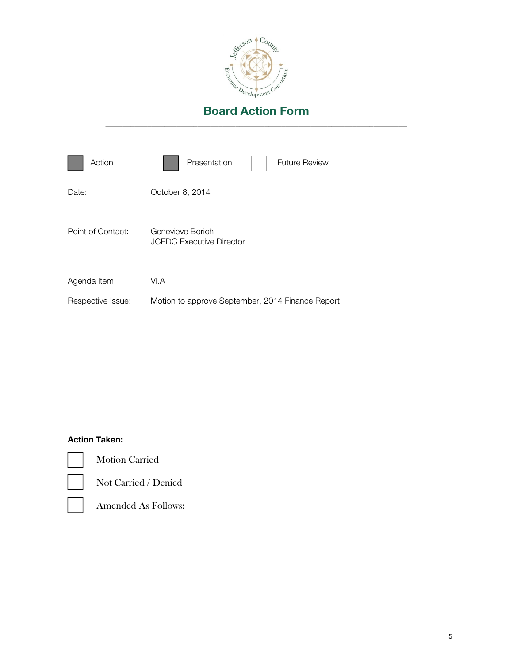

| Action            | Presentation<br><b>Future Review</b>                |
|-------------------|-----------------------------------------------------|
| Date:             | October 8, 2014                                     |
| Point of Contact: | Genevieve Borich<br><b>JCEDC Executive Director</b> |
| Agenda Item:      | VI.A                                                |
| Respective Issue: | Motion to approve September, 2014 Finance Report.   |

# Action Taken:



Motion Carried



Not Carried / Denied

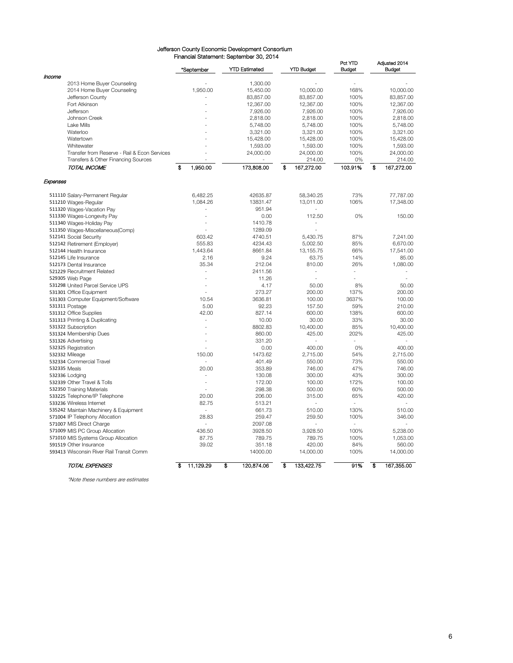#### Jefferson County Economic Development Consortium Financial Statement: September 30, 2014

|                                              | *September      | <u>Financial Statement. September 30, 2014</u><br><b>YTD Estimated</b> | <b>YTD Budget</b>        | Pct YTD<br><b>Budget</b> | Adjusted 2014<br><b>Budget</b> |
|----------------------------------------------|-----------------|------------------------------------------------------------------------|--------------------------|--------------------------|--------------------------------|
| Income                                       |                 |                                                                        |                          |                          |                                |
| 2013 Home Buyer Counseling                   |                 | 1,300.00                                                               |                          |                          |                                |
| 2014 Home Buyer Counseling                   | 1,950.00        | 15,450.00                                                              | 10,000.00                | 168%                     | 10,000.00                      |
| Jefferson County                             |                 | 83,857.00                                                              | 83,857.00                | 100%                     | 83,857.00                      |
| Fort Atkinson                                |                 | 12,367.00                                                              | 12,367.00                | 100%                     | 12,367.00                      |
| Jefferson                                    |                 | 7,926.00                                                               | 7,926.00                 | 100%                     | 7,926.00                       |
| Johnson Creek                                |                 | 2,818.00                                                               | 2,818.00                 | 100%                     | 2,818.00                       |
| Lake Mills                                   |                 | 5,748.00                                                               | 5,748.00                 | 100%                     | 5,748.00                       |
| Waterloo                                     |                 | 3,321.00                                                               | 3,321.00                 | 100%                     | 3,321.00                       |
| Watertown                                    |                 |                                                                        |                          | 100%                     |                                |
|                                              |                 | 15,428.00                                                              | 15,428.00                |                          | 15,428.00                      |
| Whitewater                                   |                 | 1,593.00                                                               | 1,593.00                 | 100%                     | 1,593.00                       |
| Transfer from Reserve - Rail & Econ Services |                 | 24,000.00                                                              | 24,000.00                | 100%                     | 24,000.00                      |
| Transfers & Other Financing Sources          |                 |                                                                        | 214.00                   | 0%                       | 214.00                         |
| TOTAL INCOME                                 | \$<br>1,950.00  | 173,808.00                                                             | \$<br>167,272.00         | 103.91%                  | \$<br>167,272.00               |
| Expenses                                     |                 |                                                                        |                          |                          |                                |
| 511110 Salary-Permanent Regular              | 6.482.25        | 42635.87                                                               | 58.340.25                | 73%                      | 77,787.00                      |
| 511210 Wages-Regular                         | 1,084.26        | 13831.47                                                               | 13,011.00                | 106%                     | 17,348.00                      |
| 511320 Wages-Vacation Pay                    |                 | 951.94                                                                 |                          |                          |                                |
| 511330 Wages-Longevity Pay                   |                 | 0.00                                                                   | 112.50                   | 0%                       | 150.00                         |
| 511340 Wages-Holiday Pay                     |                 | 1410.78                                                                |                          |                          |                                |
| 511350 Wages-Miscellaneous(Comp)             |                 | 1289.09                                                                |                          |                          |                                |
| 512141 Social Security                       | 603.42          | 4740.51                                                                | 5,430.75                 | 87%                      | 7,241.00                       |
|                                              |                 |                                                                        |                          |                          |                                |
| 512142 Retirement (Employer)                 | 555.83          | 4234.43                                                                | 5,002.50                 | 85%                      | 6,670.00                       |
| 512144 Health Insurance                      | 1,443.64        | 8661.84                                                                | 13,155.75                | 66%                      | 17,541.00                      |
| 512145 Life Insurance                        | 2.16            | 9.24                                                                   | 63.75                    | 14%                      | 85.00                          |
| 512173 Dental Insurance                      | 35.34           | 212.04                                                                 | 810.00                   | 26%                      | 1,080.00                       |
| 521229 Recruitment Related                   | ÷,              | 2411.56                                                                | $\overline{\phantom{a}}$ | ٠                        |                                |
| 529305 Web Page                              |                 | 11.26                                                                  |                          |                          |                                |
| 531298 United Parcel Service UPS             | ÷               | 4.17                                                                   | 50.00                    | 8%                       | 50.00                          |
| 531301 Office Equipment                      |                 | 273.27                                                                 | 200.00                   | 137%                     | 200.00                         |
| 531303 Computer Equipment/Software           | 10.54           | 3636.81                                                                | 100.00                   | 3637%                    | 100.00                         |
| 531311 Postage                               | 5.00            | 92.23                                                                  | 157.50                   | 59%                      | 210.00                         |
| 531312 Office Supplies                       | 42.00           | 827.14                                                                 | 600.00                   | 138%                     | 600.00                         |
| 531313 Printing & Duplicating                |                 | 10.00                                                                  | 30.00                    | 33%                      | 30.00                          |
| 531322 Subscription                          | ٠               | 8802.83                                                                | 10,400.00                | 85%                      | 10,400.00                      |
|                                              |                 |                                                                        |                          |                          |                                |
| 531324 Membership Dues                       |                 | 860.00                                                                 | 425.00                   | 202%                     | 425.00                         |
| 531326 Advertising                           |                 | 331.20                                                                 |                          |                          |                                |
| 532325 Registration                          |                 | 0.00                                                                   | 400.00                   | 0%                       | 400.00                         |
| 532332 Mileage                               | 150.00          | 1473.62                                                                | 2,715.00                 | 54%                      | 2,715.00                       |
| 532334 Commercial Travel                     |                 | 401.49                                                                 | 550.00                   | 73%                      | 550.00                         |
| 532335 Meals                                 | 20.00           | 353.89                                                                 | 746.00                   | 47%                      | 746.00                         |
| 532336 Lodging                               |                 | 130.08                                                                 | 300.00                   | 43%                      | 300.00                         |
| 532339 Other Travel & Tolls                  |                 | 172.00                                                                 | 100.00                   | 172%                     | 100.00                         |
| 532350 Training Materials                    |                 | 298.38                                                                 | 500.00                   | 60%                      | 500.00                         |
| 533225 Telephone/IP Telephone                | 20.00           | 206.00                                                                 | 315.00                   | 65%                      | 420.00                         |
| 533236 Wireless Internet                     | 82.75           | 513.21                                                                 |                          |                          |                                |
| 535242 Maintain Machinery & Equipment        |                 | 661.73                                                                 | 510.00                   | 130%                     | 510.00                         |
|                                              |                 |                                                                        |                          |                          |                                |
| 571004 IP Telephony Allocation               | 28.83           | 259.47                                                                 | 259.50                   | 100%                     | 346.00                         |
| 571007 MIS Direct Charge                     |                 | 2097.08                                                                |                          |                          |                                |
| 571009 MIS PC Group Allocation               | 436.50          | 3928.50                                                                | 3,928.50                 | 100%                     | 5,238.00                       |
| 571010 MIS Systems Group Allocation          | 87.75           | 789.75                                                                 | 789.75                   | 100%                     | 1,053.00                       |
| 591519 Other Insurance                       | 39.02           | 351.18                                                                 | 420.00                   | 84%                      | 560.00                         |
| 593413 Wisconsin River Rail Transit Comm     |                 | 14000.00                                                               | 14,000.00                | 100%                     | 14,000.00                      |
| <b>TOTAL EXPENSES</b>                        | \$<br>11,129.29 | s<br>120,874.06                                                        | \$<br>133,422.75         | 91%                      | s<br>167,355.00                |

\*Note these numbers are estimates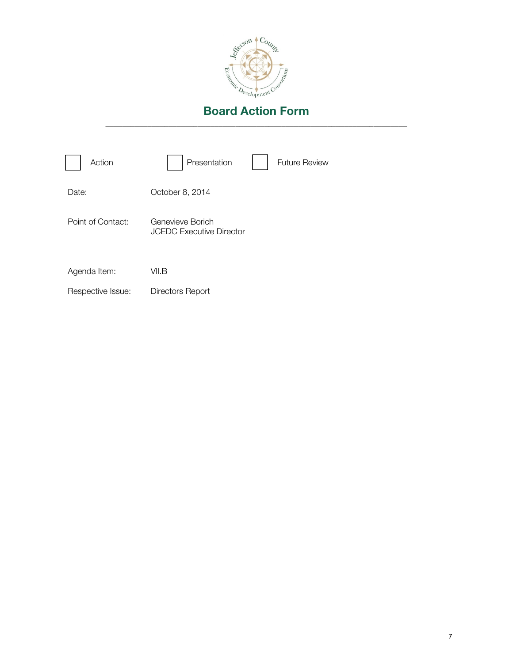

| Action            | Presentation                                        | <b>Future Review</b> |
|-------------------|-----------------------------------------------------|----------------------|
| Date:             | October 8, 2014                                     |                      |
| Point of Contact: | Genevieve Borich<br><b>JCEDC Executive Director</b> |                      |
| Agenda Item:      | VII.B                                               |                      |
| Respective Issue: | Directors Report                                    |                      |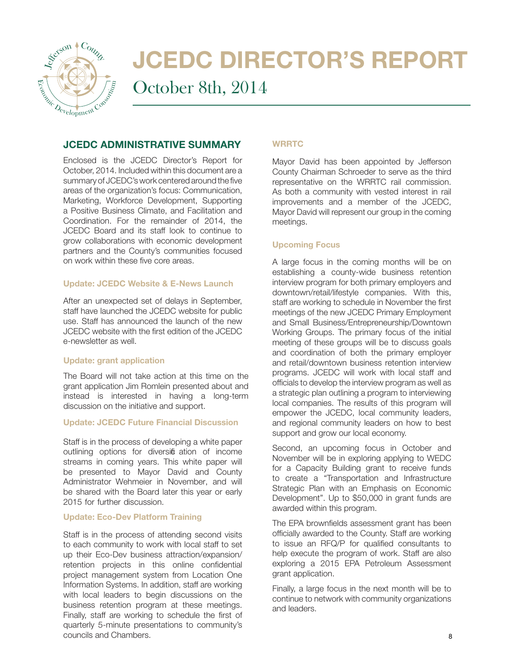

# JCEDC DIRECTOR'S REPORT

October 8th, 2014

## JCEDC ADMINISTRATIVE SUMMARY

Enclosed is the JCEDC Director's Report for October, 2014. Included within this document are a summary of JCEDC's work centered around the five areas of the organization's focus: Communication, Marketing, Workforce Development, Supporting a Positive Business Climate, and Facilitation and Coordination. For the remainder of 2014, the JCEDC Board and its staff look to continue to grow collaborations with economic development partners and the County's communities focused on work within these five core areas.

### Update: JCEDC Website & E-News Launch

After an unexpected set of delays in September, staff have launched the JCEDC website for public use. Staff has announced the launch of the new JCEDC website with the first edition of the JCEDC e-newsletter as well.

### Update: grant application

The Board will not take action at this time on the grant application Jim Romlein presented about and instead is interested in having a long-term discussion on the initiative and support.

### Update: JCEDC Future Financial Discussion

Staff is in the process of developing a white paper outlining options for diversifi ation of income streams in coming years. This white paper will be presented to Mayor David and County Administrator Wehmeier in November, and will be shared with the Board later this year or early 2015 for further discussion.

### Update: Eco-Dev Platform Training

Staff is in the process of attending second visits to each community to work with local staff to set up their Eco-Dev business attraction/expansion/ retention projects in this online confidential project management system from Location One Information Systems. In addition, staff are working with local leaders to begin discussions on the business retention program at these meetings. Finally, staff are working to schedule the first of quarterly 5-minute presentations to community's councils and Chambers.

### **WRRTC**

Mayor David has been appointed by Jefferson County Chairman Schroeder to serve as the third representative on the WRRTC rail commission. As both a community with vested interest in rail improvements and a member of the JCEDC, Mayor David will represent our group in the coming meetings.

### Upcoming Focus

A large focus in the coming months will be on establishing a county-wide business retention interview program for both primary employers and downtown/retail/lifestyle companies. With this, staff are working to schedule in November the first meetings of the new JCEDC Primary Employment and Small Business/Entrepreneurship/Downtown Working Groups. The primary focus of the initial meeting of these groups will be to discuss goals and coordination of both the primary employer and retail/downtown business retention interview programs. JCEDC will work with local staff and officials to develop the interview program as well as a strategic plan outlining a program to interviewing local companies. The results of this program will empower the JCEDC, local community leaders, and regional community leaders on how to best support and grow our local economy.

Second, an upcoming focus in October and November will be in exploring applying to WEDC for a Capacity Building grant to receive funds to create a "Transportation and Infrastructure Strategic Plan with an Emphasis on Economic Development". Up to \$50,000 in grant funds are awarded within this program.

The EPA brownfields assessment grant has been officially awarded to the County. Staff are working to issue an RFQ/P for qualified consultants to help execute the program of work. Staff are also exploring a 2015 EPA Petroleum Assessment grant application.

Finally, a large focus in the next month will be to continue to network with community organizations and leaders.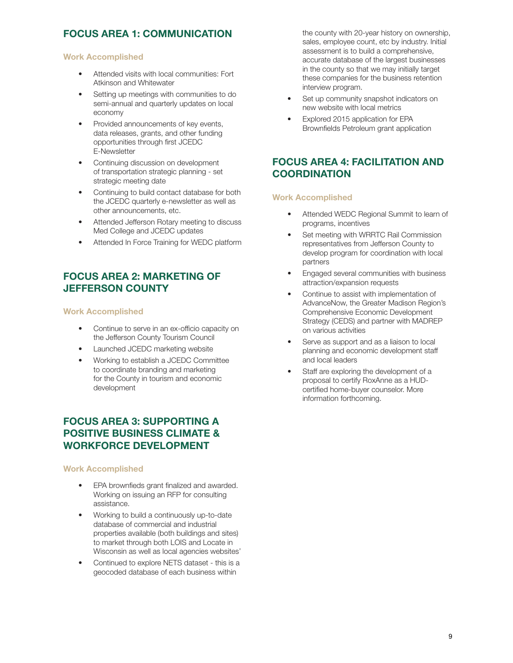# FOCUS AREA 1: COMMUNICATION

### Work Accomplished

- Attended visits with local communities: Fort Atkinson and Whitewater
- Setting up meetings with communities to do semi-annual and quarterly updates on local economy
- Provided announcements of key events, data releases, grants, and other funding opportunities through first JCEDC E-Newsletter
- Continuing discussion on development of transportation strategic planning - set strategic meeting date
- Continuing to build contact database for both the JCEDC quarterly e-newsletter as well as other announcements, etc.
- Attended Jefferson Rotary meeting to discuss Med College and JCEDC updates
- Attended In Force Training for WEDC platform

# FOCUS AREA 2: MARKETING OF JEFFERSON COUNTY

### Work Accomplished

- Continue to serve in an ex-officio capacity on the Jefferson County Tourism Council
- Launched JCEDC marketing website
- Working to establish a JCEDC Committee to coordinate branding and marketing for the County in tourism and economic development

# FOCUS AREA 3: SUPPORTING A POSITIVE BUSINESS CLIMATE & WORKFORCE DEVELOPMENT

### Work Accomplished

- EPA brownfieds grant finalized and awarded. Working on issuing an RFP for consulting assistance.
- Working to build a continuously up-to-date database of commercial and industrial properties available (both buildings and sites) to market through both LOIS and Locate in Wisconsin as well as local agencies websites'
- Continued to explore NETS dataset this is a geocoded database of each business within

the county with 20-year history on ownership, sales, employee count, etc by industry. Initial assessment is to build a comprehensive, accurate database of the largest businesses in the county so that we may initially target these companies for the business retention interview program.

- Set up community snapshot indicators on new website with local metrics
- Explored 2015 application for EPA Brownfields Petroleum grant application

# FOCUS AREA 4: FACILITATION AND **COORDINATION**

### Work Accomplished

- Attended WEDC Regional Summit to learn of programs, incentives
- Set meeting with WRRTC Rail Commission representatives from Jefferson County to develop program for coordination with local partners
- Engaged several communities with business attraction/expansion requests
- Continue to assist with implementation of AdvanceNow, the Greater Madison Region's Comprehensive Economic Development Strategy (CEDS) and partner with MADREP on various activities
- Serve as support and as a liaison to local planning and economic development staff and local leaders
- Staff are exploring the development of a proposal to certify RoxAnne as a HUDcertified home-buyer counselor. More information forthcoming.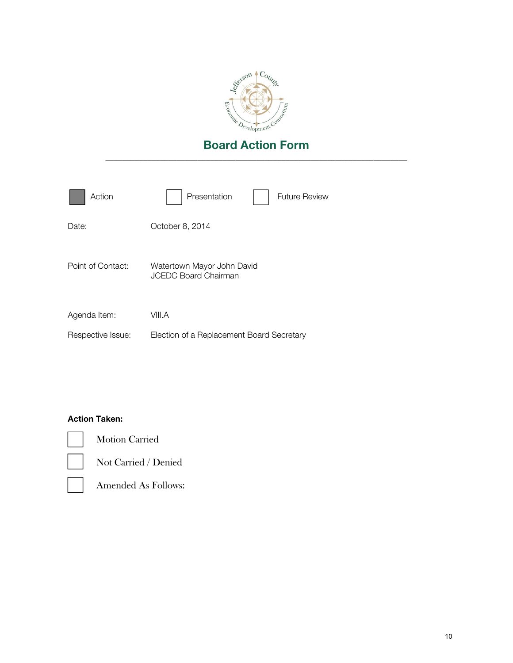

| Action            | Presentation<br><b>Future Review</b>                      |
|-------------------|-----------------------------------------------------------|
| Date:             | October 8, 2014                                           |
| Point of Contact: | Watertown Mayor John David<br><b>JCEDC Board Chairman</b> |
| Agenda Item:      | VIII.A                                                    |
| Respective Issue: | Election of a Replacement Board Secretary                 |

### Action Taken:



Motion Carried



Not Carried / Denied

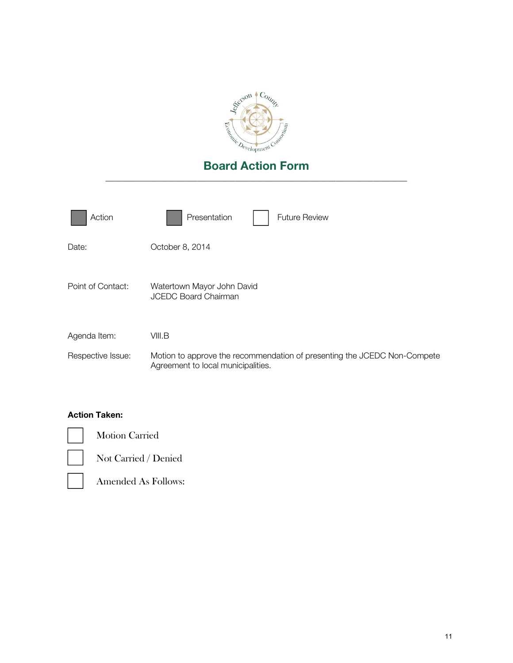

| Action            | Presentation<br><b>Future Review</b>                                                                           |
|-------------------|----------------------------------------------------------------------------------------------------------------|
| Date:             | October 8, 2014                                                                                                |
| Point of Contact: | Watertown Mayor John David<br><b>JCEDC Board Chairman</b>                                                      |
| Agenda Item:      | VIII.B                                                                                                         |
| Respective Issue: | Motion to approve the recommendation of presenting the JCEDC Non-Compete<br>Agreement to local municipalities. |

# Action Taken:

Motion Carried

Not Carried / Denied

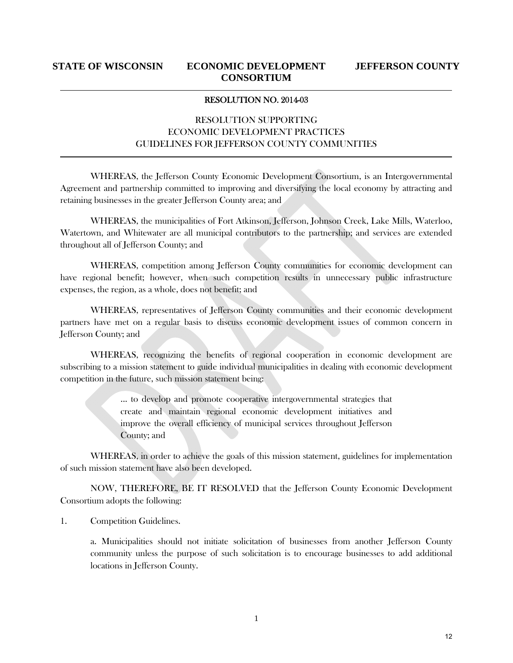### RESOLUTION NO. 2014-03

## RESOLUTION SUPPORTING ECONOMIC DEVELOPMENT PRACTICES GUIDELINES FOR JEFFERSON COUNTY COMMUNITIES

WHEREAS, the Jefferson County Economic Development Consortium, is an Intergovernmental Agreement and partnership committed to improving and diversifying the local economy by attracting and retaining businesses in the greater Jefferson County area; and

WHEREAS, the municipalities of Fort Atkinson, Jefferson, Johnson Creek, Lake Mills, Waterloo, Watertown, and Whitewater are all municipal contributors to the partnership; and services are extended throughout all of Jefferson County; and

WHEREAS, competition among Jefferson County communities for economic development can have regional benefit; however, when such competition results in unnecessary public infrastructure expenses, the region, as a whole, does not benefit; and

WHEREAS, representatives of Jefferson County communities and their economic development partners have met on a regular basis to discuss economic development issues of common concern in Jefferson County; and

WHEREAS, recognizing the benefits of regional cooperation in economic development are subscribing to a mission statement to guide individual municipalities in dealing with economic development competition in the future, such mission statement being:

> ... to develop and promote cooperative intergovernmental strategies that create and maintain regional economic development initiatives and improve the overall efficiency of municipal services throughout Jefferson County; and

WHEREAS, in order to achieve the goals of this mission statement, guidelines for implementation of such mission statement have also been developed.

NOW, THEREFORE, BE IT RESOLVED that the Jefferson County Economic Development Consortium adopts the following:

1. Competition Guidelines.

a. Municipalities should not initiate solicitation of businesses from another Jefferson County community unless the purpose of such solicitation is to encourage businesses to add additional locations in Jefferson County.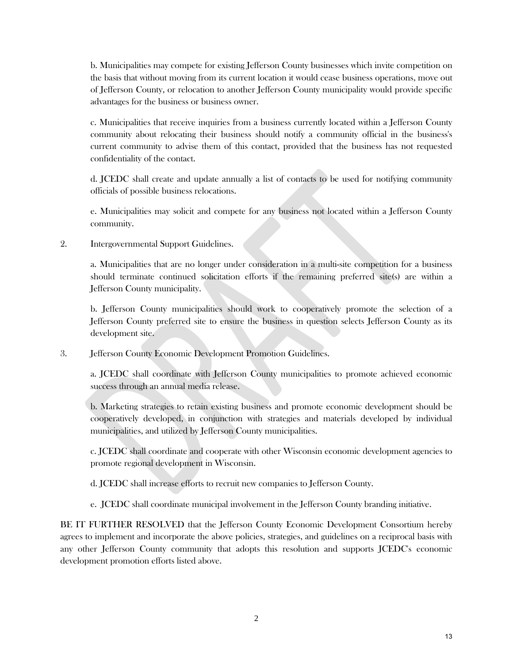b. Municipalities may compete for existing Jefferson County businesses which invite competition on the basis that without moving from its current location it would cease business operations, move out of Jefferson County, or relocation to another Jefferson County municipality would provide specific advantages for the business or business owner.

c. Municipalities that receive inquiries from a business currently located within a Jefferson County community about relocating their business should notify a community official in the business's current community to advise them of this contact, provided that the business has not requested confidentiality of the contact.

d. JCEDC shall create and update annually a list of contacts to be used for notifying community officials of possible business relocations.

e. Municipalities may solicit and compete for any business not located within a Jefferson County community.

2. Intergovernmental Support Guidelines.

a. Municipalities that are no longer under consideration in a multi-site competition for a business should terminate continued solicitation efforts if the remaining preferred site(s) are within a Jefferson County municipality.

b. Jefferson County municipalities should work to cooperatively promote the selection of a Jefferson County preferred site to ensure the business in question selects Jefferson County as its development site.

3. Jefferson County Economic Development Promotion Guidelines.

a. JCEDC shall coordinate with Jefferson County municipalities to promote achieved economic success through an annual media release.

b. Marketing strategies to retain existing business and promote economic development should be cooperatively developed, in conjunction with strategies and materials developed by individual municipalities, and utilized by Jefferson County municipalities.

c. JCEDC shall coordinate and cooperate with other Wisconsin economic development agencies to promote regional development in Wisconsin.

d. JCEDC shall increase efforts to recruit new companies to Jefferson County.

e. JCEDC shall coordinate municipal involvement in the Jefferson County branding initiative.

BE IT FURTHER RESOLVED that the Jefferson County Economic Development Consortium hereby agrees to implement and incorporate the above policies, strategies, and guidelines on a reciprocal basis with any other Jefferson County community that adopts this resolution and supports JCEDC's economic development promotion efforts listed above.